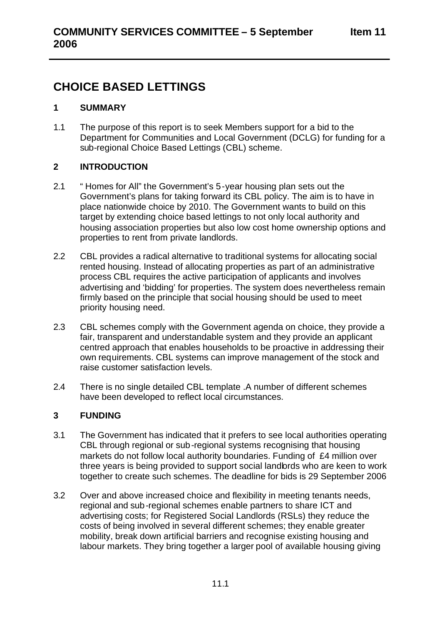# **CHOICE BASED LETTINGS**

## **1 SUMMARY**

1.1 The purpose of this report is to seek Members support for a bid to the Department for Communities and Local Government (DCLG) for funding for a sub-regional Choice Based Lettings (CBL) scheme.

# **2 INTRODUCTION**

- 2.1 " Homes for All" the Government's 5 -year housing plan sets out the Government's plans for taking forward its CBL policy. The aim is to have in place nationwide choice by 2010. The Government wants to build on this target by extending choice based lettings to not only local authority and housing association properties but also low cost home ownership options and properties to rent from private landlords.
- 2.2 CBL provides a radical alternative to traditional systems for allocating social rented housing. Instead of allocating properties as part of an administrative process CBL requires the active participation of applicants and involves advertising and 'bidding' for properties. The system does nevertheless remain firmly based on the principle that social housing should be used to meet priority housing need.
- 2.3 CBL schemes comply with the Government agenda on choice, they provide a fair, transparent and understandable system and they provide an applicant centred approach that enables households to be proactive in addressing their own requirements. CBL systems can improve management of the stock and raise customer satisfaction levels.
- 2.4 There is no single detailed CBL template .A number of different schemes have been developed to reflect local circumstances.

# **3 FUNDING**

- 3.1 The Government has indicated that it prefers to see local authorities operating CBL through regional or sub -regional systems recognising that housing markets do not follow local authority boundaries. Funding of £4 million over three years is being provided to support social landlords who are keen to work together to create such schemes. The deadline for bids is 29 September 2006
- 3.2 Over and above increased choice and flexibility in meeting tenants needs, regional and sub -regional schemes enable partners to share ICT and advertising costs; for Registered Social Landlords (RSLs) they reduce the costs of being involved in several different schemes; they enable greater mobility, break down artificial barriers and recognise existing housing and labour markets. They bring together a larger pool of available housing giving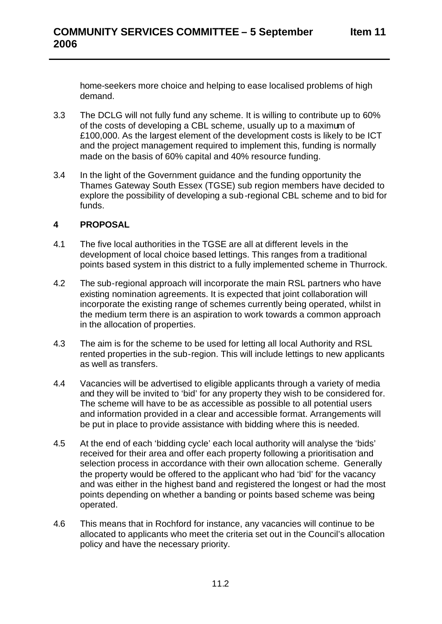home-seekers more choice and helping to ease localised problems of high demand.

- 3.3 The DCLG will not fully fund any scheme. It is willing to contribute up to 60% of the costs of developing a CBL scheme, usually up to a maximum of £100,000. As the largest element of the development costs is likely to be ICT and the project management required to implement this, funding is normally made on the basis of 60% capital and 40% resource funding.
- 3.4 In the light of the Government guidance and the funding opportunity the Thames Gateway South Essex (TGSE) sub region members have decided to explore the possibility of developing a sub-regional CBL scheme and to bid for funds.

#### **4 PROPOSAL**

- 4.1 The five local authorities in the TGSE are all at different levels in the development of local choice based lettings. This ranges from a traditional points based system in this district to a fully implemented scheme in Thurrock.
- 4.2 The sub-regional approach will incorporate the main RSL partners who have existing nomination agreements. It is expected that joint collaboration will incorporate the existing range of schemes currently being operated, whilst in the medium term there is an aspiration to work towards a common approach in the allocation of properties.
- 4.3 The aim is for the scheme to be used for letting all local Authority and RSL rented properties in the sub-region. This will include lettings to new applicants as well as transfers.
- 4.4 Vacancies will be advertised to eligible applicants through a variety of media and they will be invited to 'bid' for any property they wish to be considered for. The scheme will have to be as accessible as possible to all potential users and information provided in a clear and accessible format. Arrangements will be put in place to provide assistance with bidding where this is needed.
- 4.5 At the end of each 'bidding cycle' each local authority will analyse the 'bids' received for their area and offer each property following a prioritisation and selection process in accordance with their own allocation scheme. Generally the property would be offered to the applicant who had 'bid' for the vacancy and was either in the highest band and registered the longest or had the most points depending on whether a banding or points based scheme was being operated.
- 4.6 This means that in Rochford for instance, any vacancies will continue to be allocated to applicants who meet the criteria set out in the Council's allocation policy and have the necessary priority.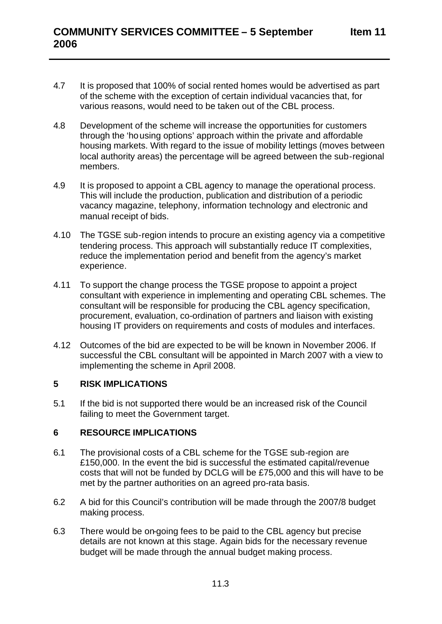- 4.7 It is proposed that 100% of social rented homes would be advertised as part of the scheme with the exception of certain individual vacancies that, for various reasons, would need to be taken out of the CBL process.
- 4.8 Development of the scheme will increase the opportunities for customers through the 'ho using options' approach within the private and affordable housing markets. With regard to the issue of mobility lettings (moves between local authority areas) the percentage will be agreed between the sub-regional members.
- 4.9 It is proposed to appoint a CBL agency to manage the operational process. This will include the production, publication and distribution of a periodic vacancy magazine, telephony, information technology and electronic and manual receipt of bids.
- 4.10 The TGSE sub-region intends to procure an existing agency via a competitive tendering process. This approach will substantially reduce IT complexities, reduce the implementation period and benefit from the agency's market experience.
- 4.11 To support the change process the TGSE propose to appoint a project consultant with experience in implementing and operating CBL schemes. The consultant will be responsible for producing the CBL agency specification, procurement, evaluation, co-ordination of partners and liaison with existing housing IT providers on requirements and costs of modules and interfaces.
- 4.12 Outcomes of the bid are expected to be will be known in November 2006. If successful the CBL consultant will be appointed in March 2007 with a view to implementing the scheme in April 2008.

#### **5 RISK IMPLICATIONS**

5.1 If the bid is not supported there would be an increased risk of the Council failing to meet the Government target.

#### **6 RESOURCE IMPLICATIONS**

- 6.1 The provisional costs of a CBL scheme for the TGSE sub-region are £150,000. In the event the bid is successful the estimated capital/revenue costs that will not be funded by DCLG will be £75,000 and this will have to be met by the partner authorities on an agreed pro-rata basis.
- 6.2 A bid for this Council's contribution will be made through the 2007/8 budget making process.
- 6.3 There would be on-going fees to be paid to the CBL agency but precise details are not known at this stage. Again bids for the necessary revenue budget will be made through the annual budget making process.